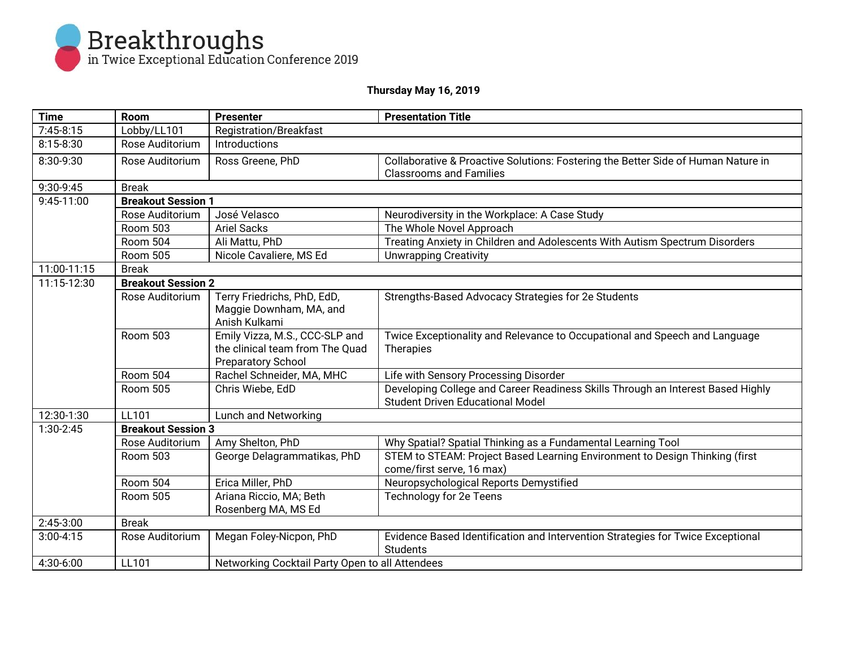

## **Thursday May 16, 2019**

| <b>Time</b>   | <b>Room</b>                                  | <b>Presenter</b>                                | <b>Presentation Title</b>                                                                                                  |  |  |
|---------------|----------------------------------------------|-------------------------------------------------|----------------------------------------------------------------------------------------------------------------------------|--|--|
| $7:45-8:15$   | Lobby/LL101                                  | <b>Registration/Breakfast</b>                   |                                                                                                                            |  |  |
| $8:15 - 8:30$ | Rose Auditorium                              | Introductions                                   |                                                                                                                            |  |  |
| 8:30-9:30     | Rose Auditorium                              | Ross Greene, PhD                                | Collaborative & Proactive Solutions: Fostering the Better Side of Human Nature in                                          |  |  |
|               |                                              |                                                 | <b>Classrooms and Families</b>                                                                                             |  |  |
| 9:30-9:45     |                                              | <b>Break</b>                                    |                                                                                                                            |  |  |
| 9:45-11:00    | <b>Breakout Session 1</b><br>Rose Auditorium |                                                 |                                                                                                                            |  |  |
|               |                                              | José Velasco                                    | Neurodiversity in the Workplace: A Case Study                                                                              |  |  |
|               | <b>Room 503</b>                              | <b>Ariel Sacks</b>                              | The Whole Novel Approach                                                                                                   |  |  |
|               | Room 504                                     | Ali Mattu, PhD                                  | Treating Anxiety in Children and Adolescents With Autism Spectrum Disorders                                                |  |  |
|               | Room 505                                     | Nicole Cavaliere, MS Ed                         | <b>Unwrapping Creativity</b>                                                                                               |  |  |
| 11:00-11:15   | <b>Break</b>                                 |                                                 |                                                                                                                            |  |  |
| 11:15-12:30   | <b>Breakout Session 2</b>                    |                                                 |                                                                                                                            |  |  |
|               | Rose Auditorium                              | Terry Friedrichs, PhD, EdD,                     | Strengths-Based Advocacy Strategies for 2e Students                                                                        |  |  |
|               |                                              | Maggie Downham, MA, and                         |                                                                                                                            |  |  |
|               |                                              | Anish Kulkami                                   |                                                                                                                            |  |  |
|               | Room 503                                     | Emily Vizza, M.S., CCC-SLP and                  | Twice Exceptionality and Relevance to Occupational and Speech and Language                                                 |  |  |
|               |                                              | the clinical team from The Quad                 | Therapies                                                                                                                  |  |  |
|               |                                              | <b>Preparatory School</b>                       |                                                                                                                            |  |  |
|               | Room 504                                     | Rachel Schneider, MA, MHC                       | Life with Sensory Processing Disorder                                                                                      |  |  |
|               | <b>Room 505</b>                              | Chris Wiebe, EdD                                | Developing College and Career Readiness Skills Through an Interest Based Highly<br><b>Student Driven Educational Model</b> |  |  |
| 12:30-1:30    | Lunch and Networking<br>LL101                |                                                 |                                                                                                                            |  |  |
| 1:30-2:45     | <b>Breakout Session 3</b>                    |                                                 |                                                                                                                            |  |  |
|               | Rose Auditorium                              | Amy Shelton, PhD                                | Why Spatial? Spatial Thinking as a Fundamental Learning Tool                                                               |  |  |
|               | Room 503                                     | George Delagrammatikas, PhD                     | STEM to STEAM: Project Based Learning Environment to Design Thinking (first<br>come/first serve, 16 max)                   |  |  |
|               | Room 504                                     | Erica Miller, PhD                               | Neuropsychological Reports Demystified                                                                                     |  |  |
|               | <b>Room 505</b>                              | Ariana Riccio, MA; Beth                         | Technology for 2e Teens                                                                                                    |  |  |
|               |                                              | Rosenberg MA, MS Ed                             |                                                                                                                            |  |  |
| $2:45-3:00$   | <b>Break</b>                                 |                                                 |                                                                                                                            |  |  |
| $3:00 - 4:15$ | Rose Auditorium                              | Megan Foley-Nicpon, PhD                         | Evidence Based Identification and Intervention Strategies for Twice Exceptional                                            |  |  |
|               |                                              |                                                 | <b>Students</b>                                                                                                            |  |  |
| 4:30-6:00     | LL101                                        | Networking Cocktail Party Open to all Attendees |                                                                                                                            |  |  |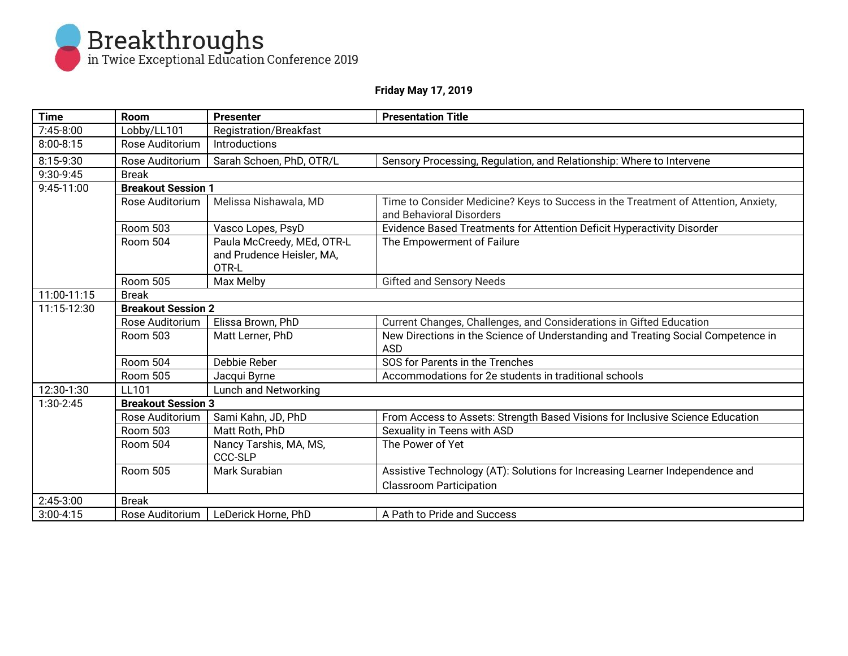

## **Friday May 17, 2019**

| <b>Time</b>   | <b>Room</b>                   | <b>Presenter</b>                                                 | <b>Presentation Title</b>                                                                                      |  |  |
|---------------|-------------------------------|------------------------------------------------------------------|----------------------------------------------------------------------------------------------------------------|--|--|
| $7:45-8:00$   | Lobby/LL101                   | <b>Registration/Breakfast</b>                                    |                                                                                                                |  |  |
| $8:00 - 8:15$ | Rose Auditorium               | Introductions                                                    |                                                                                                                |  |  |
| 8:15-9:30     | Rose Auditorium               | Sarah Schoen, PhD, OTR/L                                         | Sensory Processing, Regulation, and Relationship: Where to Intervene                                           |  |  |
| 9:30-9:45     | <b>Break</b>                  |                                                                  |                                                                                                                |  |  |
| 9:45-11:00    | <b>Breakout Session 1</b>     |                                                                  |                                                                                                                |  |  |
|               | Rose Auditorium               | Melissa Nishawala, MD                                            | Time to Consider Medicine? Keys to Success in the Treatment of Attention, Anxiety,<br>and Behavioral Disorders |  |  |
|               | <b>Room 503</b>               | Vasco Lopes, PsyD                                                | Evidence Based Treatments for Attention Deficit Hyperactivity Disorder                                         |  |  |
|               | Room 504                      | Paula McCreedy, MEd, OTR-L<br>and Prudence Heisler, MA,<br>OTR-L | The Empowerment of Failure                                                                                     |  |  |
|               | <b>Room 505</b>               | Max Melby                                                        | <b>Gifted and Sensory Needs</b>                                                                                |  |  |
| 11:00-11:15   | <b>Break</b>                  |                                                                  |                                                                                                                |  |  |
| 11:15-12:30   | <b>Breakout Session 2</b>     |                                                                  |                                                                                                                |  |  |
|               | Rose Auditorium               | Elissa Brown, PhD                                                | Current Changes, Challenges, and Considerations in Gifted Education                                            |  |  |
|               | <b>Room 503</b>               | Matt Lerner, PhD                                                 | New Directions in the Science of Understanding and Treating Social Competence in<br><b>ASD</b>                 |  |  |
|               | Room 504                      | Debbie Reber                                                     | SOS for Parents in the Trenches                                                                                |  |  |
|               | <b>Room 505</b>               | Jacqui Byrne                                                     | Accommodations for 2e students in traditional schools                                                          |  |  |
| 12:30-1:30    | Lunch and Networking<br>LL101 |                                                                  |                                                                                                                |  |  |
| 1:30-2:45     | <b>Breakout Session 3</b>     |                                                                  |                                                                                                                |  |  |
|               | Rose Auditorium               | Sami Kahn, JD, PhD                                               | From Access to Assets: Strength Based Visions for Inclusive Science Education                                  |  |  |
|               | <b>Room 503</b>               | Matt Roth, PhD                                                   | Sexuality in Teens with ASD                                                                                    |  |  |
|               | Room 504                      | Nancy Tarshis, MA, MS,<br>CCC-SLP                                | The Power of Yet                                                                                               |  |  |
|               | Room 505                      | Mark Surabian                                                    | Assistive Technology (AT): Solutions for Increasing Learner Independence and                                   |  |  |
|               |                               |                                                                  | <b>Classroom Participation</b>                                                                                 |  |  |
| 2:45-3:00     | <b>Break</b>                  |                                                                  |                                                                                                                |  |  |
| $3:00 - 4:15$ | Rose Auditorium               | LeDerick Horne, PhD                                              | A Path to Pride and Success                                                                                    |  |  |